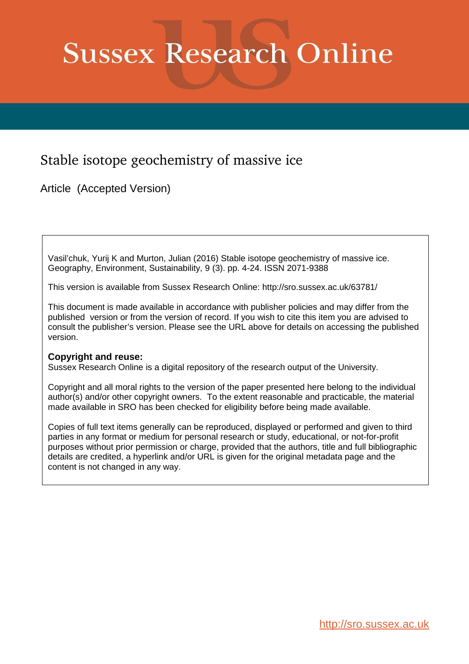# **Sussex Research Online**

## Stable isotope geochemistry of massive ice

Article (Accepted Version)

Vasil'chuk, Yurij K and Murton, Julian (2016) Stable isotope geochemistry of massive ice. Geography, Environment, Sustainability, 9 (3). pp. 4-24. ISSN 2071-9388

This version is available from Sussex Research Online: http://sro.sussex.ac.uk/63781/

This document is made available in accordance with publisher policies and may differ from the published version or from the version of record. If you wish to cite this item you are advised to consult the publisher's version. Please see the URL above for details on accessing the published version.

#### **Copyright and reuse:**

Sussex Research Online is a digital repository of the research output of the University.

Copyright and all moral rights to the version of the paper presented here belong to the individual author(s) and/or other copyright owners. To the extent reasonable and practicable, the material made available in SRO has been checked for eligibility before being made available.

Copies of full text items generally can be reproduced, displayed or performed and given to third parties in any format or medium for personal research or study, educational, or not-for-profit purposes without prior permission or charge, provided that the authors, title and full bibliographic details are credited, a hyperlink and/or URL is given for the original metadata page and the content is not changed in any way.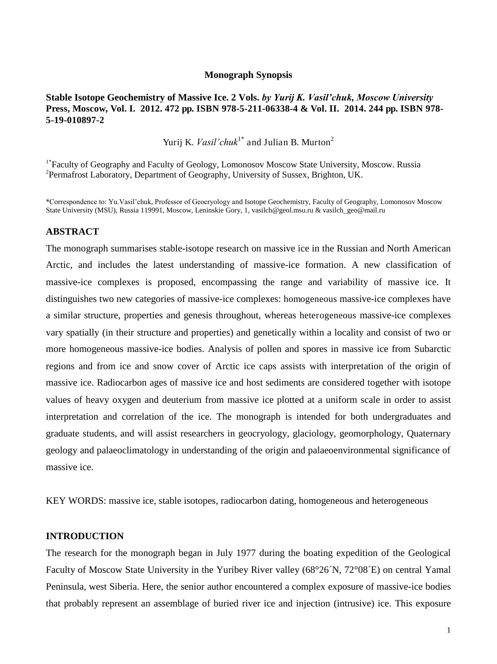#### **Monograph Synopsis**

#### **Stable Isotope Geochemistry of Massive Ice. 2 Vols.** *by Yurij K. Vasil'chuk, Moscow University*  **Press, Moscow, Vol. I. 2012. 472 pp. ISBN 978-5-211-06338-4 & Vol. II. 2014. 244 pp. ISBN 978- 5-19-010897-2**

Yurij K. *Vasil'chuk*<sup>1\*</sup> and Julian B. Murton<sup>2</sup>

<sup>1\*</sup>Faculty of Geography and Faculty of Geology, Lomonosov Moscow State University, Moscow. Russia <sup>2</sup>Permafrost Laboratory, Department of Geography, University of Sussex, Brighton, UK.

\*Correspondence to: Yu.Vasil"chuk, Professor of Geocryology and Isotope Geochemistry, Faculty of Geography, Lomonosov Moscow State University (MSU), Russia 119991, Moscow, Leninskie Gory, 1, vasilch@geol.msu.ru & vasilch\_geo@mail.ru

#### **ABSTRACT**

The monograph summarises stable-isotope research on massive ice in the Russian and North American Arctic, and includes the latest understanding of massive-ice formation. A new classification of massive-ice complexes is proposed, encompassing the range and variability of massive ice. It distinguishes two new categories of massive-ice complexes: homogeneous massive-ice complexes have a similar structure, properties and genesis throughout, whereas heterogeneous massive-ice complexes vary spatially (in their structure and properties) and genetically within a locality and consist of two or more homogeneous massive-ice bodies. Analysis of pollen and spores in massive ice from Subarctic regions and from ice and snow cover of Arctic ice caps assists with interpretation of the origin of massive ice. Radiocarbon ages of massive ice and host sediments are considered together with isotope values of heavy oxygen and deuterium from massive ice plotted at a uniform scale in order to assist interpretation and correlation of the ice. The monograph is intended for both undergraduates and graduate students, and will assist researchers in geocryology, glaciology, geomorphology, Quaternary geology and palaeoclimatology in understanding of the origin and palaeoenvironmental significance of massive ice.

KEY WORDS: massive ice, stable isotopes, radiocarbon dating, homogeneous and heterogeneous

#### **INTRODUCTION**

The research for the monograph began in July 1977 during the boating expedition of the Geological Faculty of Moscow State University in the Yuribey River valley (68°26´N, 72°08´E) on central Yamal Peninsula, west Siberia. Here, the senior author encountered a complex exposure of massive-ice bodies that probably represent an assemblage of buried river ice and injection (intrusive) ice. This exposure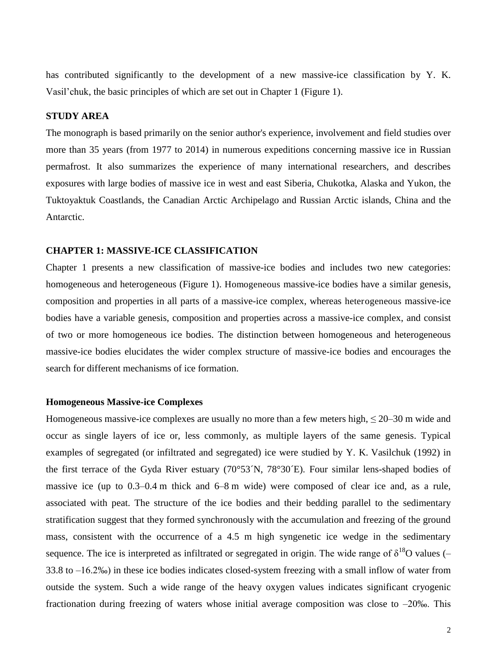has contributed significantly to the development of a new massive-ice classification by Y. K. Vasil"chuk, the basic principles of which are set out in Chapter 1 (Figure 1).

#### **STUDY AREA**

The monograph is based primarily on the senior author's experience, involvement and field studies over more than 35 years (from 1977 to 2014) in numerous expeditions concerning massive ice in Russian permafrost. It also summarizes the experience of many international researchers, and describes exposures with large bodies of massive ice in west and east Siberia, Chukotka, Alaska and Yukon, the Tuktoyaktuk Coastlands, the Canadian Arctic Archipelago and Russian Arctic islands, China and the Antarctic.

#### **CHAPTER 1: MASSIVE-ICE CLASSIFICATION**

Chapter 1 presents a new classification of massive-ice bodies and includes two new categories: homogeneous and heterogeneous (Figure 1). Homogeneous massive-ice bodies have a similar genesis, composition and properties in all parts of a massive-ice complex, whereas heterogeneous massive-ice bodies have a variable genesis, composition and properties across a massive-ice complex, and consist of two or more homogeneous ice bodies. The distinction between homogeneous and heterogeneous massive-ice bodies elucidates the wider complex structure of massive-ice bodies and encourages the search for different mechanisms of ice formation.

#### **Homogeneous Massive-ice Complexes**

Homogeneous massive-ice complexes are usually no more than a few meters high,  $\leq 20-30$  m wide and occur as single layers of ice or, less commonly, as multiple layers of the same genesis. Typical examples of segregated (or infiltrated and segregated) ice were studied by Y. K. Vasilchuk (1992) in the first terrace of the Gyda River estuary (70°53´N, 78°30´E). Four similar lens-shaped bodies of massive ice (up to 0.3–0.4 m thick and 6–8 m wide) were composed of clear ice and, as a rule, associated with peat. The structure of the ice bodies and their bedding parallel to the sedimentary stratification suggest that they formed synchronously with the accumulation and freezing of the ground mass, consistent with the occurrence of a 4.5 m high syngenetic ice wedge in the sedimentary sequence. The ice is interpreted as infiltrated or segregated in origin. The wide range of  $\delta^{18}O$  values (– 33.8 to –16.2‰) in these ice bodies indicates closed-system freezing with a small inflow of water from outside the system. Such a wide range of the heavy oxygen values indicates significant cryogenic fractionation during freezing of waters whose initial average composition was close to –20‰. This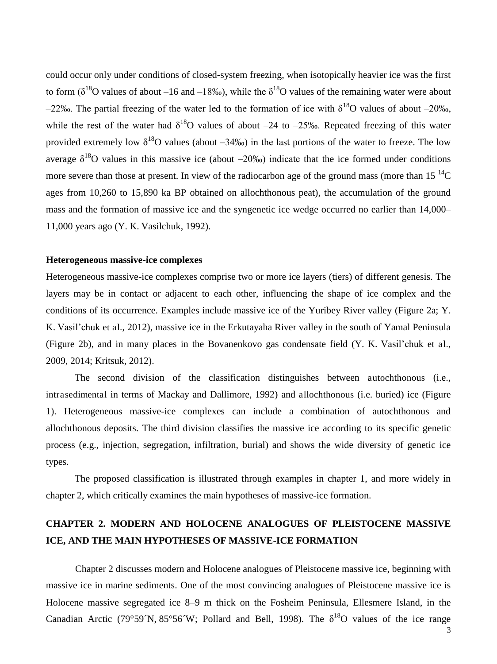could occur only under conditions of closed-system freezing, when isotopically heavier ice was the first to form ( $\delta^{18}$ O values of about –16 and –18‰), while the  $\delta^{18}$ O values of the remaining water were about  $-22\%$ . The partial freezing of the water led to the formation of ice with  $\delta^{18}$ O values of about  $-20\%$ . while the rest of the water had  $\delta^{18}$ O values of about –24 to –25‰. Repeated freezing of this water provided extremely low  $\delta^{18}O$  values (about  $-34\%$ ) in the last portions of the water to freeze. The low average  $\delta^{18}$ O values in this massive ice (about –20‰) indicate that the ice formed under conditions more severe than those at present. In view of the radiocarbon age of the ground mass (more than  $15^{-14}C$ ) ages from 10,260 to 15,890 ka BP obtained on allochthonous peat), the accumulation of the ground mass and the formation of massive ice and the syngenetic ice wedge occurred no earlier than 14,000– 11,000 years ago (Y. K. Vasilchuk, 1992).

#### **Heterogeneous massive-ice complexes**

Heterogeneous massive-ice complexes comprise two or more ice layers (tiers) of different genesis. The layers may be in contact or adjacent to each other, influencing the shape of ice complex and the conditions of its occurrence. Examples include massive ice of the Yuribey River valley (Figure 2a; Y. K. Vasil"chuk et al., 2012), massive ice in the Erkutayaha River valley in the south of Yamal Peninsula (Figure 2b), and in many places in the Bovanenkovo gas condensate field (Y. K. Vasil"chuk et al., 2009, 2014; Kritsuk, 2012).

The second division of the classification distinguishes between autochthonous (i.e., intrasedimental in terms of Mackay and Dallimore, 1992) and allochthonous (i.e. buried) ice (Figure 1). Heterogeneous massive-ice complexes can include a combination of autochthonous and allochthonous deposits. The third division classifies the massive ice according to its specific genetic process (e.g., injection, segregation, infiltration, burial) and shows the wide diversity of genetic ice types.

The proposed classification is illustrated through examples in chapter 1, and more widely in chapter 2, which critically examines the main hypotheses of massive-ice formation.

## **CHAPTER 2. MODERN AND HOLOCENE ANALOGUES OF PLEISTOCENE MASSIVE ICE, AND THE MAIN HYPOTHESES OF MASSIVE-ICE FORMATION**

Chapter 2 discusses modern and Holocene analogues of Pleistocene massive ice, beginning with massive ice in marine sediments. One of the most convincing analogues of Pleistocene massive ice is Holocene massive segregated ice 8–9 m thick on the Fosheim Peninsula, Ellesmere Island, in the Canadian Arctic (79°59´N, 85°56´W; Pollard and Bell, 1998). The  $\delta^{18}O$  values of the ice range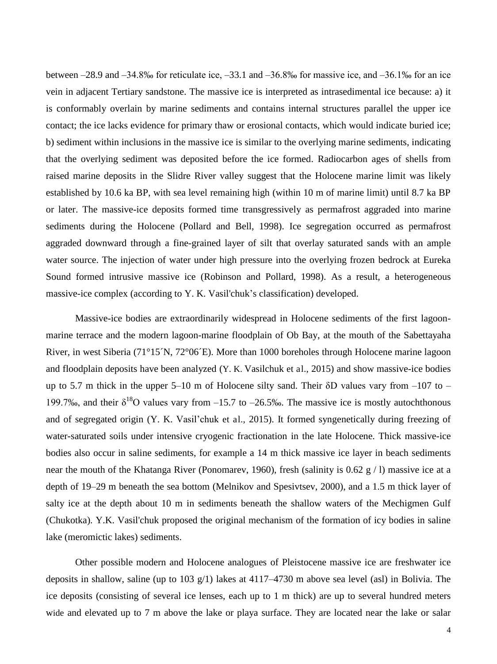between –28.9 and –34.8‰ for reticulate ice, –33.1 and –36.8‰ for massive ice, and –36.1‰ for an ice vein in adjacent Tertiary sandstone. The massive ice is interpreted as intrasedimental ice because: a) it is conformably overlain by marine sediments and contains internal structures parallel the upper ice contact; the ice lacks evidence for primary thaw or erosional contacts, which would indicate buried ice; b) sediment within inclusions in the massive ice is similar to the overlying marine sediments, indicating that the overlying sediment was deposited before the ice formed. Radiocarbon ages of shells from raised marine deposits in the Slidre River valley suggest that the Holocene marine limit was likely established by 10.6 ka BP, with sea level remaining high (within 10 m of marine limit) until 8.7 ka BP or later. The massive-ice deposits formed time transgressively as permafrost aggraded into marine sediments during the Holocene (Pollard and Bell, 1998). Ice segregation occurred as permafrost aggraded downward through a fine-grained layer of silt that overlay saturated sands with an ample water source. The injection of water under high pressure into the overlying frozen bedrock at Eureka Sound formed intrusive massive ice (Robinson and Pollard, 1998). As a result, a heterogeneous massive-ice complex (according to Y. K. Vasil'chuk"s classification) developed.

Massive-ice bodies are extraordinarily widespread in Holocene sediments of the first lagoonmarine terrace and the modern lagoon-marine floodplain of Ob Bay, at the mouth of the Sabettayaha River, in west Siberia (71°15´N, 72°06´E). More than 1000 boreholes through Holocene marine lagoon and floodplain deposits have been analyzed (Y. K. Vasilchuk et al., 2015) and show massive-ice bodies up to 5.7 m thick in the upper 5–10 m of Holocene silty sand. Their  $\delta$ D values vary from –107 to – 199.7‰, and their  $\delta^{18}O$  values vary from -15.7 to -26.5‰. The massive ice is mostly autochthonous and of segregated origin (Y. K. Vasil"chuk et al., 2015). It formed syngenetically during freezing of water-saturated soils under intensive cryogenic fractionation in the late Holocene. Thick massive-ice bodies also occur in saline sediments, for example a 14 m thick massive ice layer in beach sediments near the mouth of the Khatanga River (Ponomarev, 1960), fresh (salinity is 0.62 g / l) massive ice at a depth of 19–29 m beneath the sea bottom (Melnikov and Spesivtsev, 2000), and a 1.5 m thick layer of salty ice at the depth about 10 m in sediments beneath the shallow waters of the Mechigmen Gulf (Chukotka). Y.K. Vasil'chuk proposed the original mechanism of the formation of icy bodies in saline lake (meromictic lakes) sediments.

 Other possible modern and Holocene analogues of Pleistocene massive ice are freshwater ice deposits in shallow, saline (up to 103 g/1) lakes at 4117–4730 m above sea level (asl) in Bolivia. The ice deposits (consisting of several ice lenses, each up to 1 m thick) are up to several hundred meters wide and elevated up to 7 m above the lake or playa surface. They are located near the lake or salar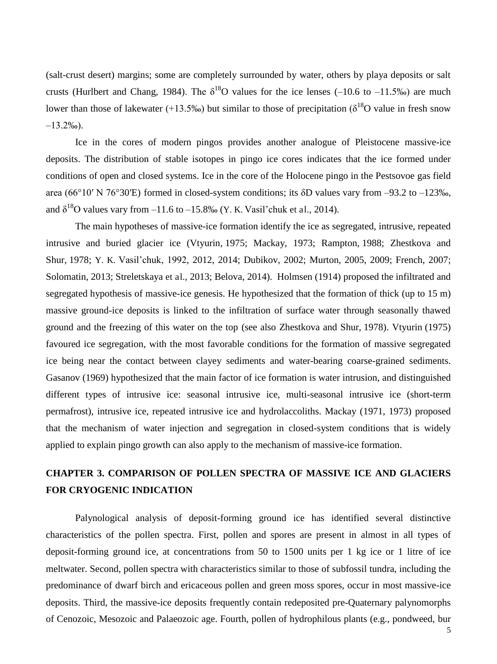(salt-crust desert) margins; some are completely surrounded by water, others by playa deposits or salt crusts (Hurlbert and Chang, 1984). The  $\delta^{18}O$  values for the ice lenses (–10.6 to –11.5‰) are much lower than those of lakewater (+13.5‰) but similar to those of precipitation ( $\delta^{18}$ O value in fresh snow  $-13.2\%$ <sup>o</sup>).

 Ice in the cores of modern pingos provides another analogue of Pleistocene massive-ice deposits. The distribution of stable isotopes in pingo ice cores indicates that the ice formed under conditions of open and closed systems. Ice in the core of the Holocene pingo in the Pestsovoe gas field area (66°10′ N 76°30′E) formed in closed-system conditions; its  $\delta$ D values vary from –93.2 to –123‰, and  $\delta^{18}$ O values vary from  $-11.6$  to  $-15.8\%$  (Y. K. Vasil'chuk et al., 2014).

 The main hypotheses of massive-ice formation identify the ice as segregated, intrusive, repeated intrusive and buried glacier ice (Vtyurin, 1975; Mackay, 1973; Rampton, 1988; Zhestkova and Shur, 1978; Y. K. Vasil"chuk, 1992, 2012, 2014; Dubikov, 2002; Murton, 2005, 2009; French, 2007; Solomatin, 2013; Streletskaya et al., 2013; Belova, 2014). Holmsen (1914) proposed the infiltrated and segregated hypothesis of massive-ice genesis. He hypothesized that the formation of thick (up to 15 m) massive ground-ice deposits is linked to the infiltration of surface water through seasonally thawed ground and the freezing of this water on the top (see also Zhestkova and Shur, 1978). Vtyurin (1975) favoured ice segregation, with the most favorable conditions for the formation of massive segregated ice being near the contact between clayey sediments and water-bearing coarse-grained sediments. Gasanov (1969) hypothesized that the main factor of ice formation is water intrusion, and distinguished different types of intrusive ice: seasonal intrusive ice, multi-seasonal intrusive ice (short-term permafrost), intrusive ice, repeated intrusive ice and hydrolaccoliths. Mackay (1971, 1973) proposed that the mechanism of water injection and segregation in closed-system conditions that is widely applied to explain pingo growth can also apply to the mechanism of massive-ice formation.

## **CHAPTER 3. COMPARISON OF POLLEN SPECTRA OF MASSIVE ICE AND GLACIERS FOR CRYOGENIC INDICATION**

Palynological analysis of deposit-forming ground ice has identified several distinctive characteristics of the pollen spectra. First, pollen and spores are present in almost in all types of deposit-forming ground ice, at concentrations from 50 to 1500 units per 1 kg ice or 1 litre of ice meltwater. Second, pollen spectra with characteristics similar to those of subfossil tundra, including the predominance of dwarf birch and ericaceous pollen and green moss spores, occur in most massive-ice deposits. Third, the massive-ice deposits frequently contain redeposited pre-Quaternary palynomorphs of Cenozoic, Mesozoic and Palaeozoic age. Fourth, pollen of hydrophilous plants (e.g., pondweed, bur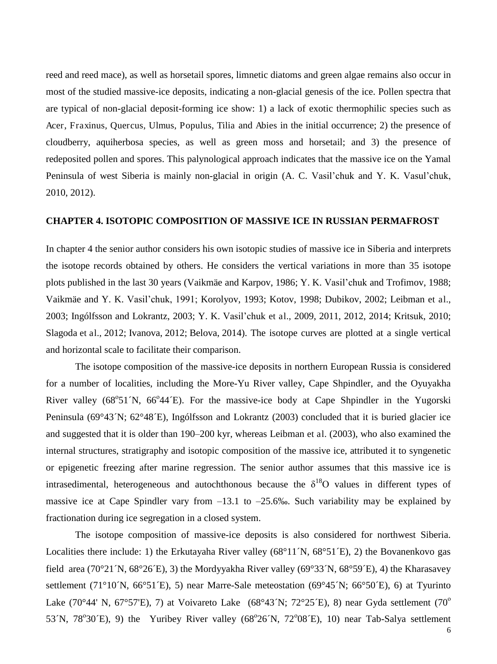reed and reed mace), as well as horsetail spores, limnetic diatoms and green algae remains also occur in most of the studied massive-ice deposits, indicating a non-glacial genesis of the ice. Pollen spectra that are typical of non-glacial deposit-forming ice show: 1) a lack of exotic thermophilic species such as Acer, Fraxinus, Quercus, Ulmus, Populus, Tilia and Abies in the initial occurrence; 2) the presence of cloudberry, aquiherbosa species, as well as green moss and horsetail; and 3) the presence of redeposited pollen and spores. This palynological approach indicates that the massive ice on the Yamal Peninsula of west Siberia is mainly non-glacial in origin (A. C. Vasil'chuk and Y. K. Vasul'chuk, 2010, 2012).

#### **CHAPTER 4. ISOTOPIC COMPOSITION OF MASSIVE ICE IN RUSSIAN PERMAFROST**

In chapter 4 the senior author considers his own isotopic studies of massive ice in Siberia and interprets the isotope records obtained by others. He considers the vertical variations in more than 35 isotope plots published in the last 30 years (Vaikmäe and Karpov, 1986; Y. K. Vasil"chuk and Trofimov, 1988; Vaikmäe and Y. K. Vasil"chuk, 1991; Korolyov, 1993; Kotov, 1998; Dubikov, 2002; Leibman et al., 2003; Ingólfsson and Lokrantz, 2003; Y. K. Vasil"chuk et al., 2009, 2011, 2012, 2014; Kritsuk, 2010; Slagoda et al., 2012; Ivanova, 2012; Belova, 2014). The isotope curves are plotted at a single vertical and horizontal scale to facilitate their comparison.

The isotope composition of the massive-ice deposits in northern European Russia is considered for a number of localities, including the More-Yu River valley, Cape Shpindler, and the Oyuyakha River valley (68°51´N, 66°44´E). For the massive-ice body at Cape Shpindler in the Yugorski Peninsula (69°43´N; 62°48´E), Ingólfsson and Lokrantz (2003) concluded that it is buried glacier ice and suggested that it is older than 190–200 kyr, whereas Leibman et al. (2003), who also examined the internal structures, stratigraphy and isotopic composition of the massive ice, attributed it to syngenetic or epigenetic freezing after marine regression. The senior author assumes that this massive ice is intrasedimental, heterogeneous and autochthonous because the  $\delta^{18}O$  values in different types of massive ice at Cape Spindler vary from  $-13.1$  to  $-25.6\%$ . Such variability may be explained by fractionation during ice segregation in a closed system.

The isotope composition of massive-ice deposits is also considered for northwest Siberia. Localities there include: 1) the Erkutayaha River valley (68°11´N, 68°51´E), 2) the Bovanenkovo gas field area (70°21´N, 68°26 $E$ ), 3) the Mordyyakha River valley (69°33´N, 68°59 $E$ ), 4) the Kharasavey settlement (71°10´N, 66°51´E), 5) near Marre-Sale meteostation (69°45´N; 66°50´E), 6) at Tyurinto Lake (70°44' N, 67°57'E), 7) at Voivareto Lake (68°43 $'N$ ; 72°25 $'E$ ), 8) near Gyda settlement (70° 53<sup>'</sup>N, 78°30'E), 9) the Yuribey River valley (68°26<sup>'</sup>N, 72°08'E), 10) near Tab-Salya settlement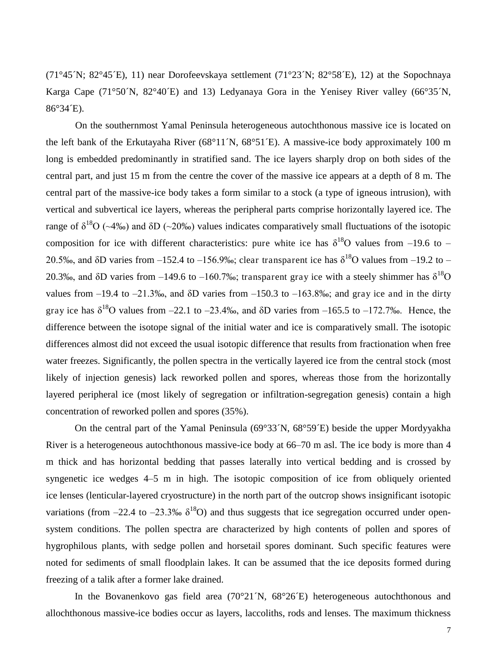(71°45´N; 82°45´E), 11) near Dorofeevskaya settlement (71°23´N; 82°58´E), 12) at the Sopochnaya Karga Cape (71°50´N, 82°40´E) and 13) Ledyanaya Gora in the Yenisey River valley (66°35´N, 86°34´E).

 On the southernmost Yamal Peninsula heterogeneous autochthonous massive ice is located on the left bank of the Erkutayaha River (68°11´N, 68°51´E). A massive-ice body approximately 100 m long is embedded predominantly in stratified sand. The ice layers sharply drop on both sides of the central part, and just 15 m from the centre the cover of the massive ice appears at a depth of 8 m. The central part of the massive-ice body takes a form similar to a stock (a type of igneous intrusion), with vertical and subvertical ice layers, whereas the peripheral parts comprise horizontally layered ice. The range of  $\delta^{18}O$  (~4‰) and  $\delta D$  (~20‰) values indicates comparatively small fluctuations of the isotopic composition for ice with different characteristics: pure white ice has  $\delta^{18}O$  values from -19.6 to -20.5‰, and  $\delta$ D varies from -152.4 to -156.9‰; clear transparent ice has  $\delta^{18}$ O values from -19.2 to -20.3‰, and  $\delta$ D varies from -149.6 to -160.7‰; transparent gray ice with a steely shimmer has  $\delta^{18}O$ values from –19.4 to –21.3‰, and  $\delta D$  varies from –150.3 to –163.8‰; and gray ice and in the dirty gray ice has  $\delta^{18}$ O values from -22.1 to -23.4‰, and  $\delta$ D varies from -165.5 to -172.7‰. Hence, the difference between the isotope signal of the initial water and ice is comparatively small. The isotopic differences almost did not exceed the usual isotopic difference that results from fractionation when free water freezes. Significantly, the pollen spectra in the vertically layered ice from the central stock (most likely of injection genesis) lack reworked pollen and spores, whereas those from the horizontally layered peripheral ice (most likely of segregation or infiltration-segregation genesis) contain a high concentration of reworked pollen and spores (35%).

On the central part of the Yamal Peninsula (69°33´N, 68°59´E) beside the upper Mordyyakha River is a heterogeneous autochthonous massive-ice body at 66–70 m asl. The ice body is more than 4 m thick and has horizontal bedding that passes laterally into vertical bedding and is crossed by syngenetic ice wedges 4–5 m in high. The isotopic composition of ice from obliquely oriented ice lenses (lenticular-layered cryostructure) in the north part of the outcrop shows insignificant isotopic variations (from –22.4 to –23.3‰  $\delta^{18}O$ ) and thus suggests that ice segregation occurred under opensystem conditions. The pollen spectra are characterized by high contents of pollen and spores of hygrophilous plants, with sedge pollen and horsetail spores dominant. Such specific features were noted for sediments of small floodplain lakes. It can be assumed that the ice deposits formed during freezing of a talik after a former lake drained.

In the Bovanenkovo gas field area (70°21´N, 68°26´E) heterogeneous autochthonous and allochthonous massive-ice bodies occur as layers, laccoliths, rods and lenses. The maximum thickness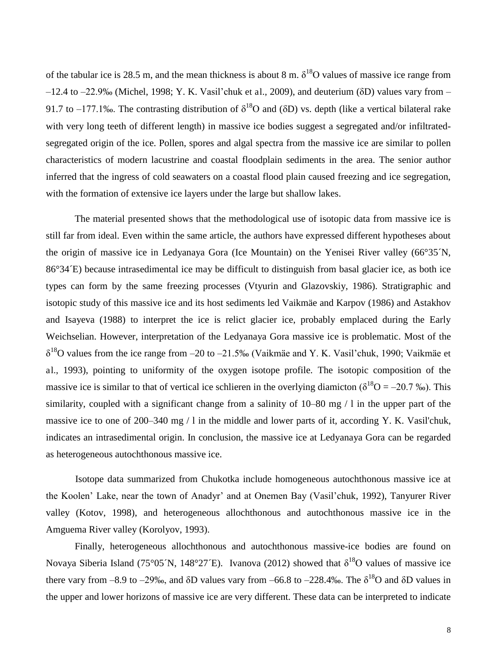of the tabular ice is 28.5 m, and the mean thickness is about 8 m.  $\delta^{18}O$  values of massive ice range from  $-12.4$  to  $-22.9%$  (Michel, 1998; Y. K. Vasil'chuk et al., 2009), and deuterium ( $\delta$ D) values vary from – 91.7 to –177.1‰. The contrasting distribution of  $\delta^{18}O$  and ( $\delta D$ ) vs. depth (like a vertical bilateral rake with very long teeth of different length) in massive ice bodies suggest a segregated and/or infiltratedsegregated origin of the ice. Pollen, spores and algal spectra from the massive ice are similar to pollen characteristics of modern lacustrine and coastal floodplain sediments in the area. The senior author inferred that the ingress of cold seawaters on a coastal flood plain caused freezing and ice segregation, with the formation of extensive ice layers under the large but shallow lakes.

The material presented shows that the methodological use of isotopic data from massive ice is still far from ideal. Even within the same article, the authors have expressed different hypotheses about the origin of massive ice in Ledyanaya Gora (Ice Mountain) on the Yenisei River valley (66°35´N, 86°34´E) because intrasedimental ice may be difficult to distinguish from basal glacier ice, as both ice types can form by the same freezing processes (Vtyurin and Glazovskiy, 1986). Stratigraphic and isotopic study of this massive ice and its host sediments led Vaikmäe and Karpov (1986) and Astakhov and Isayeva (1988) to interpret the ice is relict glacier ice, probably emplaced during the Early Weichselian. However, interpretation of the Ledyanaya Gora massive ice is problematic. Most of the  $\delta^{18}$ O values from the ice range from –20 to –21.5‰ (Vaikmäe and Y. K. Vasil'chuk, 1990; Vaikmäe et al., 1993), pointing to uniformity of the oxygen isotope profile. The isotopic composition of the massive ice is similar to that of vertical ice schlieren in the overlying diamicton ( $\delta^{18}O = -20.7$ %). This similarity, coupled with a significant change from a salinity of 10–80 mg / l in the upper part of the massive ice to one of 200–340 mg / l in the middle and lower parts of it, according Y. K. Vasil'chuk, indicates an intrasedimental origin. In conclusion, the massive ice at Ledyanaya Gora can be regarded as heterogeneous autochthonous massive ice.

 Isotope data summarized from Chukotka include homogeneous autochthonous massive ice at the Koolen" Lake, near the town of Anadyr" and at Onemen Bay (Vasil"chuk, 1992), Tanyurer River valley (Kotov, 1998), and heterogeneous allochthonous and autochthonous massive ice in the Amguema River valley (Korolyov, 1993).

Finally, heterogeneous allochthonous and autochthonous massive-ice bodies are found on Novaya Siberia Island (75°05´N, 148°27´E). Ivanova (2012) showed that  $\delta^{18}O$  values of massive ice there vary from -8.9 to -29‰, and  $\delta$ D values vary from -66.8 to -228.4‰. The  $\delta^{18}O$  and  $\delta$ D values in the upper and lower horizons of massive ice are very different. These data can be interpreted to indicate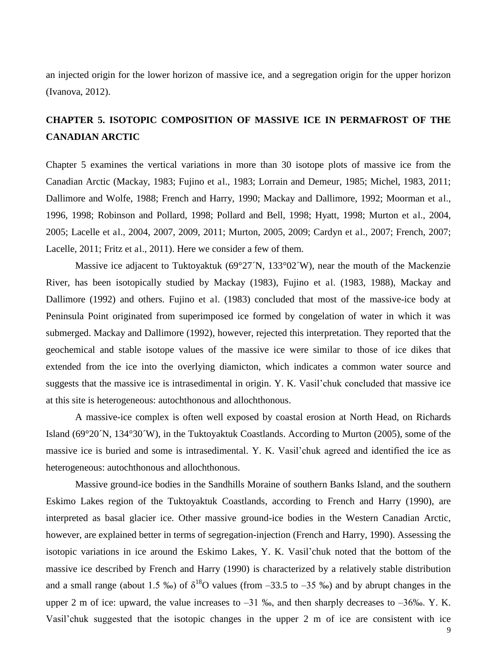an injected origin for the lower horizon of massive ice, and a segregation origin for the upper horizon (Ivanova, 2012).

## **CHAPTER 5. ISOTOPIC COMPOSITION OF MASSIVE ICE IN PERMAFROST OF THE CANADIAN ARCTIC**

Chapter 5 examines the vertical variations in more than 30 isotope plots of massive ice from the Canadian Arctic (Mackay, 1983; Fujino et al., 1983; Lorrain and Demeur, 1985; Michel, 1983, 2011; Dallimore and Wolfe, 1988; French and Harry, 1990; Mackay and Dallimore, 1992; Moorman et al., 1996, 1998; Robinson and Pollard, 1998; Pollard and Bell, 1998; Hyatt, 1998; Murton et al., 2004, 2005; Lacelle et al., 2004, 2007, 2009, 2011; Murton, 2005, 2009; Cardyn et al., 2007; French, 2007; Lacelle, 2011; Fritz et al., 2011). Here we consider a few of them.

Massive ice adjacent to Tuktoyaktuk (69°27′N, 133°02′W), near the mouth of the Mackenzie River, has been isotopically studied by Mackay (1983), Fujino et al. (1983, 1988), Mackay and Dallimore (1992) and others. Fujino et al. (1983) concluded that most of the massive-ice body at Peninsula Point originated from superimposed ice formed by congelation of water in which it was submerged. Mackay and Dallimore (1992), however, rejected this interpretation. They reported that the geochemical and stable isotope values of the massive ice were similar to those of ice dikes that extended from the ice into the overlying diamicton, which indicates a common water source and suggests that the massive ice is intrasedimental in origin. Y. K. Vasil"chuk concluded that massive ice at this site is heterogeneous: autochthonous and allochthonous.

A massive-ice complex is often well exposed by coastal erosion at North Head, on Richards Island (69°20´N, 134°30´W), in the Tuktoyaktuk Coastlands. According to Murton (2005), some of the massive ice is buried and some is intrasedimental. Y. K. Vasil"chuk agreed and identified the ice as heterogeneous: autochthonous and allochthonous.

Massive ground-ice bodies in the Sandhills Moraine of southern Banks Island, and the southern Eskimo Lakes region of the Tuktoyaktuk Coastlands, according to French and Harry (1990), are interpreted as basal glacier ice. Other massive ground-ice bodies in the Western Canadian Arctic, however, are explained better in terms of segregation-injection (French and Harry, 1990). Assessing the isotopic variations in ice around the Eskimo Lakes, Y. K. Vasil"chuk noted that the bottom of the massive ice described by French and Harry (1990) is characterized by a relatively stable distribution and a small range (about 1.5 ‰) of  $\delta^{18}O$  values (from -33.5 to -35 ‰) and by abrupt changes in the upper 2 m of ice: upward, the value increases to  $-31$  ‰, and then sharply decreases to  $-36$ ‰. Y. K. Vasil"chuk suggested that the isotopic changes in the upper 2 m of ice are consistent with ice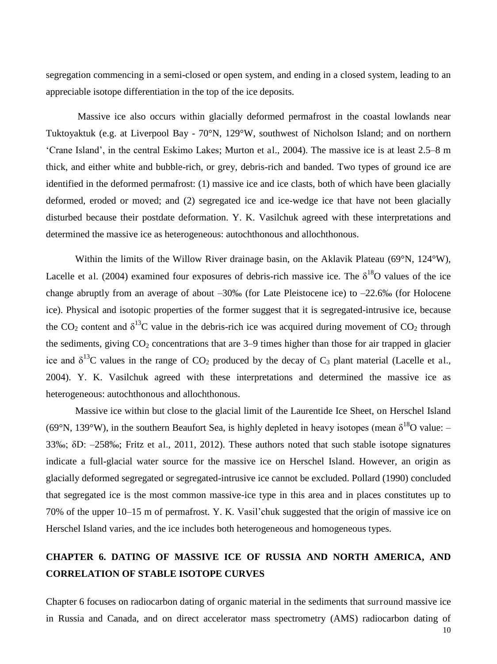segregation commencing in a semi-closed or open system, and ending in a closed system, leading to an appreciable isotope differentiation in the top of the ice deposits.

 Massive ice also occurs within glacially deformed permafrost in the coastal lowlands near Tuktoyaktuk (e.g. at Liverpool Bay - 70°N, 129°W, southwest of Nicholson Island; and on northern "Crane Island", in the central Eskimo Lakes; Murton et al., 2004). The massive ice is at least 2.5–8 m thick, and either white and bubble-rich, or grey, debris-rich and banded. Two types of ground ice are identified in the deformed permafrost: (1) massive ice and ice clasts, both of which have been glacially deformed, eroded or moved; and (2) segregated ice and ice-wedge ice that have not been glacially disturbed because their postdate deformation. Y. K. Vasilchuk agreed with these interpretations and determined the massive ice as heterogeneous: autochthonous and allochthonous.

Within the limits of the Willow River drainage basin, on the Aklavik Plateau (69°N, 124°W), Lacelle et al. (2004) examined four exposures of debris-rich massive ice. The  $\delta^{18}O$  values of the ice change abruptly from an average of about –30‰ (for Late Pleistocene ice) to –22.6‰ (for Holocene ice). Physical and isotopic properties of the former suggest that it is segregated-intrusive ice, because the CO<sub>2</sub> content and  $\delta^{13}$ C value in the debris-rich ice was acquired during movement of CO<sub>2</sub> through the sediments, giving  $CO_2$  concentrations that are 3–9 times higher than those for air trapped in glacier ice and  $\delta^{13}$ C values in the range of CO<sub>2</sub> produced by the decay of C<sub>3</sub> plant material (Lacelle et al., 2004). Y. K. Vasilchuk agreed with these interpretations and determined the massive ice as heterogeneous: autochthonous and allochthonous.

Massive ice within but close to the glacial limit of the Laurentide Ice Sheet, on Herschel Island (69°N, 139°W), in the southern Beaufort Sea, is highly depleted in heavy isotopes (mean  $\delta^{18}O$  value: – 33‰; δD: –258‰; Fritz et al., 2011, 2012). These authors noted that such stable isotope signatures indicate a full-glacial water source for the massive ice on Herschel Island. However, an origin as glacially deformed segregated or segregated-intrusive ice cannot be excluded. Pollard (1990) concluded that segregated ice is the most common massive-ice type in this area and in places constitutes up to 70% of the upper 10–15 m of permafrost. Y. K. Vasil"chuk suggested that the origin of massive ice on Herschel Island varies, and the ice includes both heterogeneous and homogeneous types.

## **CHAPTER 6. DATING OF MASSIVE ICE OF RUSSIA AND NORTH AMERICA, AND CORRELATION OF STABLE ISOTOPE CURVES**

Chapter 6 focuses on radiocarbon dating of organic material in the sediments that surround massive ice in Russia and Canada, and on direct accelerator mass spectrometry (AMS) radiocarbon dating of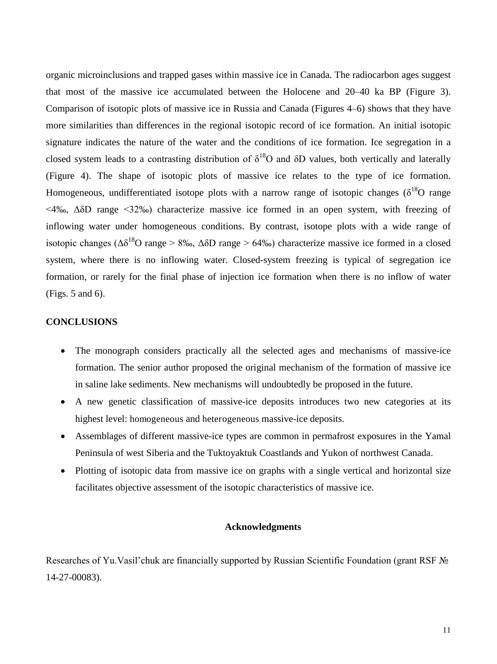organic microinclusions and trapped gases within massive ice in Canada. The radiocarbon ages suggest that most of the massive ice accumulated between the Holocene and 20–40 ka BP (Figure 3). Comparison of isotopic plots of massive ice in Russia and Canada (Figures 4–6) shows that they have more similarities than differences in the regional isotopic record of ice formation. An initial isotopic signature indicates the nature of the water and the conditions of ice formation. Ice segregation in a closed system leads to a contrasting distribution of  $\delta^{18}O$  and  $\delta D$  values, both vertically and laterally (Figure 4). The shape of isotopic plots of massive ice relates to the type of ice formation. Homogeneous, undifferentiated isotope plots with a narrow range of isotopic changes ( $\delta^{18}O$  range  $\langle 4\%$ <sub>0</sub>, ΔδD range  $\langle 32\%$ <sub>0</sub>) characterize massive ice formed in an open system, with freezing of inflowing water under homogeneous conditions. By contrast, isotope plots with a wide range of isotopic changes ( $\Delta\delta^{18}$ O range > 8‰,  $\Delta\delta$ D range > 64‰) characterize massive ice formed in a closed system, where there is no inflowing water. Closed-system freezing is typical of segregation ice formation, or rarely for the final phase of injection ice formation when there is no inflow of water (Figs. 5 and 6).

#### **CONCLUSIONS**

- The monograph considers practically all the selected ages and mechanisms of massive-ice formation. The senior author proposed the original mechanism of the formation of massive ice in saline lake sediments. New mechanisms will undoubtedly be proposed in the future.
- A new genetic classification of massive-ice deposits introduces two new categories at its highest level: homogeneous and heterogeneous massive-ice deposits.
- Assemblages of different massive-ice types are common in permafrost exposures in the Yamal Peninsula of west Siberia and the Tuktoyaktuk Coastlands and Yukon of northwest Canada.
- Plotting of isotopic data from massive ice on graphs with a single vertical and horizontal size facilitates objective assessment of the isotopic characteristics of massive ice.

#### **Acknowledgments**

Researches of Yu. Vasil'chuk are financially supported by Russian Scientific Foundation (grant RSF № 14-27-00083).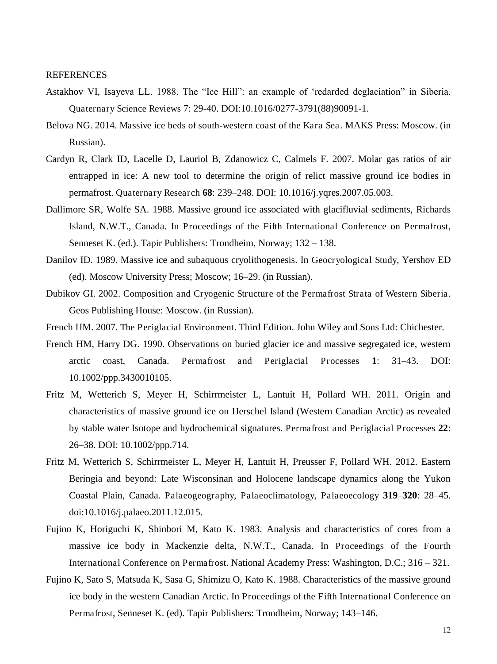#### REFERENCES

- Astakhov VI, Isayeva LL. 1988. The "Ice Hill": an example of "redarded deglaciation" in Siberia. Quaternary Science Reviews 7: 29-40. DOI:10.1016/0277-3791(88)90091-1.
- Belova NG. 2014. Massive ice beds of south-western coast of the Kara Sea. MAKS Press: Moscow. (in Russian).
- Cardyn R, Clark ID, Lacelle D, Lauriol B, Zdanowicz C, Calmels F. 2007. Molar gas ratios of air entrapped in ice: A new tool to determine the origin of relict massive ground ice bodies in permafrost. Quaternary Research **68**: 239–248. DOI: 10.1016/j.yqres.2007.05.003.
- Dallimore SR, Wolfe SA. 1988. Massive ground ice associated with glacifluvial sediments, Richards Island, N.W.T., Canada. In Proceedings of the Fifth International Conference on Permafrost, Senneset K. (ed.). Tapir Publishers: Trondheim, Norway; 132 – 138.
- Danilov ID. 1989. Massive ice and subaquous cryolithogenesis. In Geocryological Study, Yershov ED (ed). Moscow University Press; Moscow; 16–29. (in Russian).
- Dubikov GI. 2002. Composition and Cryogenic Structure of the Permafrost Strata of Western Siberia. Geos Publishing House: Moscow. (in Russian).
- French HM. 2007. The Periglacial Environment. Third Edition. John Wiley and Sons Ltd: Chichester.
- French HM, Harry DG. 1990. Observations on buried glacier ice and massive segregated ice, western arctic coast, Canada. Permafrost and Periglacial Processes **1**: 31–43. DOI: 10.1002/ppp.3430010105.
- Fritz M, Wetterich S, Meyer H, Schirrmeister L, Lantuit H, Pollard WH. 2011. Origin and characteristics of massive ground ice on Herschel Island (Western Canadian Arctic) as revealed by stable water Isotope and hydrochemical signatures. Permafrost and Periglacial Processes **22**: 26–38. DOI: 10.1002/ppp.714.
- Fritz M, Wetterich S, Schirrmeister L, Meyer H, Lantuit H, Preusser F, Pollard WH. 2012. Eastern Beringia and beyond: Late Wisconsinan and Holocene landscape dynamics along the Yukon Coastal Plain, Canada. Palaeogeography, Palaeoclimatology, Palaeoecology **319**–**320**: 28–45. doi:10.1016/j.palaeo.2011.12.015.
- Fujino K, Horiguchi K, Shinbori M, Kato K. 1983. Analysis and characteristics of cores from a massive ice body in Mackenzie delta, N.W.T., Canada. In Proceedings of the Fourth International Conference on Permafrost. National Academy Press: Washington, D.C.; 316 – 321.
- Fujino K, Sato S, Matsuda K, Sasa G, Shimizu O, Kato K. 1988. Characteristics of the massive ground ice body in the western Canadian Arctic. In Proceedings of the Fifth International Conference on Permafrost, Senneset K. (ed). Tapir Publishers: Trondheim, Norway; 143–146.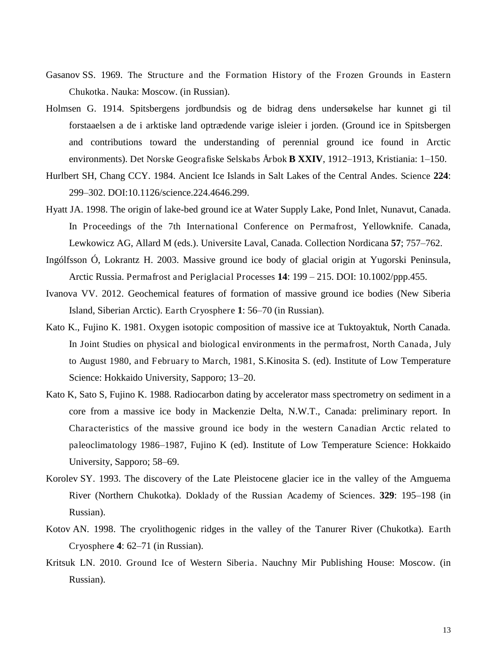- Gasanov SS. 1969. The Structure and the Formation History of the Frozen Grounds in Eastern Chukotka. Nauka: Moscow. (in Russian).
- Holmsen G. 1914. Spitsbergens jordbundsis og de bidrag dens undersøkelse har kunnet gi til forstaaelsen a de i arktiske land optrædende varige isleier i jorden. (Ground ice in Spitsbergen and contributions toward the understanding of perennial ground ice found in Arctic environments). Det Norske Geografiske Selskabs Årbok **B XXIV**, 1912–1913, Kristiania: 1–150.
- Hurlbert SH, Chang CCY. 1984. Ancient Ice Islands in Salt Lakes of the Central Andes. Science **224**: 299–302. DOI:10.1126/science.224.4646.299.
- Hyatt JA. 1998. The origin of lake-bed ground ice at Water Supply Lake, Pond Inlet, Nunavut, Canada. In Proceedings of the 7th International Conference on Permafrost, Yellowknife. Canada, Lewkowicz AG, Allard M (eds.). Universite Laval, Canada. Collection Nordicana **57**; 757–762.
- Ingólfsson Ó, Lokrantz H. 2003. Massive ground ice body of glacial origin at Yugorski Peninsula, Arctic Russia. Permafrost and Periglacial Processes **14**: 199 – 215. DOI: 10.1002/ppp.455.
- Ivanova VV. 2012. Geochemical features of formation of massive ground ice bodies (New Siberia Island, Siberian Arctic). Earth Cryosphere **1**: 56–70 (in Russian).
- Kato K., Fujino K. 1981. Oxygen isotopic composition of massive ice at Tuktoyaktuk, North Canada. In Joint Studies on physical and biological environments in the permafrost, North Canada, July to August 1980, and February to March, 1981, S.Kinosita S. (ed). Institute of Low Temperature Science: Hokkaido University, Sapporo; 13–20.
- Kato K, Sato S, Fujino K. 1988. Radiocarbon dating by accelerator mass spectrometry on sediment in a core from a massive ice body in Mackenzie Delta, N.W.T., Canada: preliminary report. In Characteristics of the massive ground ice body in the western Canadian Arctic related to paleoclimatology 1986–1987, Fujino K (ed). Institute of Low Temperature Science: Hokkaido University, Sapporo; 58–69.
- Korolev SY. 1993. The discovery of the Late Pleistocene glacier ice in the valley of the Amguema River (Northern Chukotka). Doklady of the Russian Academy of Sciences. **329**: 195–198 (in Russian).
- Kotov AN. 1998. The cryolithogenic ridges in the valley of the Tanurer River (Chukotka). Earth Cryosphere **4**: 62–71 (in Russian).
- Kritsuk LN. 2010. Ground Ice of Western Siberia. Nauchny Mir Publishing House: Moscow. (in Russian).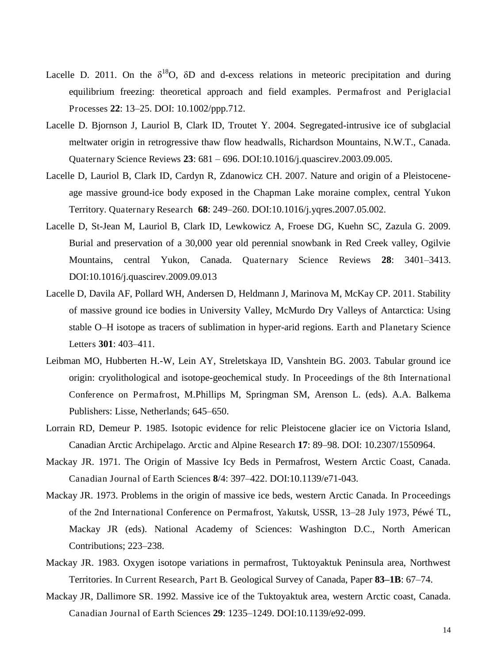- Lacelle D. 2011. On the  $\delta^{18}O$ ,  $\delta D$  and d-excess relations in meteoric precipitation and during equilibrium freezing: theoretical approach and field examples. Permafrost and Periglacial Processes **22**: 13–25. DOI: 10.1002/ppp.712.
- Lacelle D. Bjornson J, Lauriol B, Clark ID, Troutet Y. 2004. Segregated-intrusive ice of subglacial meltwater origin in retrogressive thaw flow headwalls, Richardson Mountains, N.W.T., Canada. Quaternary Science Reviews **23**: 681 – 696. DOI:10.1016/j.quascirev.2003.09.005.
- Lacelle D, Lauriol B, Clark ID, Cardyn R, Zdanowicz CH. 2007. Nature and origin of a Pleistoceneage massive ground-ice body exposed in the Chapman Lake moraine complex, central Yukon Territory. Quaternary Research **68**: 249–260. DOI:10.1016/j.yqres.2007.05.002.
- Lacelle D, St-Jean M, Lauriol B, Clark ID, Lewkowicz A, Froese DG, Kuehn SC, Zazula G. 2009. Burial and preservation of a 30,000 year old perennial snowbank in Red Creek valley, Ogilvie Mountains, central Yukon, Canada. Quaternary Science Reviews **28**: 3401–3413. DOI:10.1016/j.quascirev.2009.09.013
- Lacelle D, Davila AF, Pollard WH, Andersen D, Heldmann J, Marinova M, McKay CP. 2011. Stability of massive ground ice bodies in University Valley, McMurdo Dry Valleys of Antarctica: Using stable O–H isotope as tracers of sublimation in hyper-arid regions. Earth and Planetary Science Letters **301**: 403–411.
- Leibman MO, Hubberten H.-W, Lein AY, Streletskaya ID, Vanshtein BG. 2003. Tabular ground ice origin: cryolithological and isotope-geochemical study. In Proceedings of the 8th International Conference on Permafrost, M.Phillips M, Springman SM, Arenson L. (eds). A.A. Balkema Publishers: Lisse, Netherlands; 645–650.
- Lorrain RD, Demeur P. 1985. Isotopic evidence for relic Pleistocene glacier ice on Victoria Island, Canadian Arctic Archipelago. Arctic and Alpine Research **17**: 89–98. DOI: 10.2307/1550964.
- Mackay JR. 1971. The Origin of Massive Icy Beds in Permafrost, Western Arctic Coast, Canada. Canadian Journal of Earth Sciences **8**/4: 397–422. DOI:10.1139/e71-043.
- Mackay JR. 1973. Problems in the origin of massive ice beds, western Arctic Canada. In Proceedings of the 2nd International Conference on Permafrost, Yakutsk, USSR, 13*–*28 July 1973, Péwé TL, Mackay JR (eds). National Academy of Sciences: Washington D.C., North American Contributions; 223–238.
- Mackay JR. 1983. Oxygen isotope variations in permafrost, Tuktoyaktuk Peninsula area, Northwest Territories. In Current Research, Part B. Geological Survey of Canada, Paper **83–1B**: 67–74.
- Mackay JR, Dallimore SR. 1992. Massive ice of the Tuktoyaktuk area, western Arctic coast, Canada. Canadian Journal of Earth Sciences **29**: 1235–1249. DOI:10.1139/e92-099.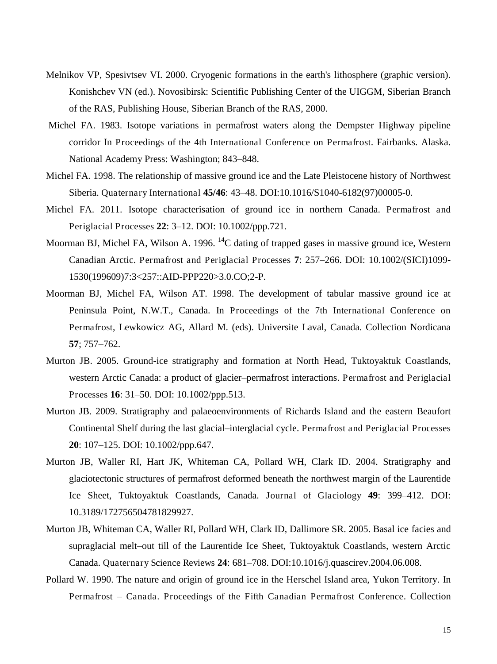- Melnikov VP, Spesivtsev VI. 2000. Cryogenic formations in the earth's lithosphere (graphic version). Konishchev VN (ed.). Novosibirsk: Scientific Publishing Center of the UIGGM, Siberian Branch of the RAS, Publishing House, Siberian Branch of the RAS, 2000.
- Michel FA. 1983. Isotope variations in permafrost waters along the Dempster Highway pipeline corridor In Proceedings of the 4th International Conference on Permafrost. Fairbanks. Alaska. National Academy Press: Washington; 843–848.
- Michel FA. 1998. The relationship of massive ground ice and the Late Pleistocene history of Northwest Siberia. Quaternary International **45/46**: 43–48. DOI:10.1016/S1040-6182(97)00005-0.
- Michel FA. 2011. Isotope characterisation of ground ice in northern Canada. Permafrost and Periglacial Processes **22**: 3–12. DOI: 10.1002/ppp.721.
- Moorman BJ, Michel FA, Wilson A. 1996. <sup>14</sup>C dating of trapped gases in massive ground ice, Western Canadian Arctic. Permafrost and Periglacial Processes **7**: 257–266. DOI: 10.1002/(SICI)1099- 1530(199609)7:3<257::AID-PPP220>3.0.CO;2-P.
- Moorman BJ, Michel FA, Wilson AT. 1998. The development of tabular massive ground ice at Peninsula Point, N.W.T., Canada. In Proceedings of the 7th International Conference on Permafrost, Lewkowicz AG, Allard M. (eds). Universite Laval, Canada. Collection Nordicana **57**; 757–762.
- Murton JB. 2005. Ground-ice stratigraphy and formation at North Head, Tuktoyaktuk Coastlands, western Arctic Canada: a product of glacier–permafrost interactions. Permafrost and Periglacial Processes **16**: 31–50. DOI: 10.1002/ppp.513.
- Murton JB. 2009. Stratigraphy and palaeoenvironments of Richards Island and the eastern Beaufort Continental Shelf during the last glacial–interglacial cycle. Permafrost and Periglacial Processes **20**: 107–125. DOI: 10.1002/ppp.647.
- Murton JB, Waller RI, Hart JK, Whiteman CA, Pollard WH, Clark ID. 2004. Stratigraphy and glaciotectonic structures of permafrost deformed beneath the northwest margin of the Laurentide Ice Sheet, Tuktoyaktuk Coastlands, Canada. Journal of Glaciology **49**: 399–412. DOI: 10.3189/172756504781829927.
- Murton JB, Whiteman CA, Waller RI, Pollard WH, Clark ID, Dallimore SR. 2005. Basal ice facies and supraglacial melt–out till of the Laurentide Ice Sheet, Tuktoyaktuk Coastlands, western Arctic Canada. Quaternary Science Reviews **24**: 681–708. DOI:10.1016/j.quascirev.2004.06.008.
- Pollard W. 1990. The nature and origin of ground ice in the Herschel Island area, Yukon Territory. In Permafrost *–* Canada. Proceedings of the Fifth Canadian Permafrost Conference. Collection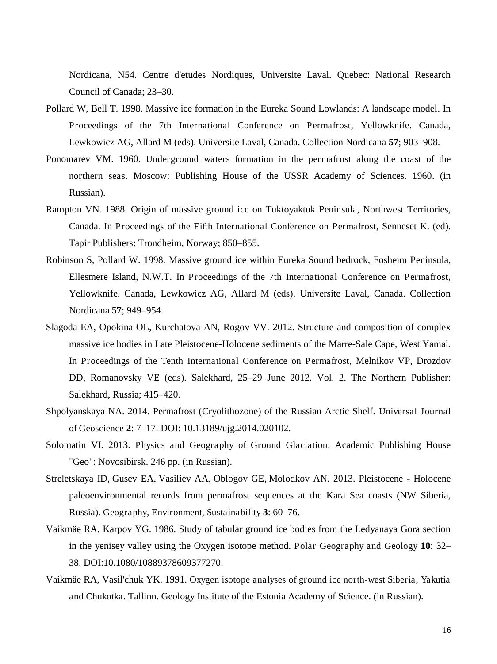Nordicana, N54. Centre d'etudes Nordiques, Universite Laval. Quebec: National Research Council of Canada; 23–30.

- Pollard W, Bell T. 1998. Massive ice formation in the Eureka Sound Lowlands: A landscape model. In Proceedings of the 7th International Conference on Permafrost, Yellowknife. Canada, Lewkowicz AG, Allard M (eds). Universite Laval, Canada. Collection Nordicana **57**; 903–908.
- Ponomarev VM. 1960. Underground waters formation in the permafrost along the coast of the northern seas. Moscow: Publishing House of the USSR Academy of Sciences. 1960. (in Russian).
- Rampton VN. 1988. Origin of massive ground ice on Tuktoyaktuk Peninsula, Northwest Territories, Canada. In Proceedings of the Fifth International Conference on Permafrost, Senneset K. (ed). Tapir Publishers: Trondheim, Norway; 850–855.
- Robinson S, Pollard W. 1998. Massive ground ice within Eureka Sound bedrock, Fosheim Peninsula, Ellesmere Island, N.W.T. In Proceedings of the 7th International Conference on Permafrost, Yellowknife. Canada, Lewkowicz AG, Allard M (eds). Universite Laval, Canada. Collection Nordicana **57**; 949–954.
- Slagoda EA, Opokina OL, Kurchatova AN, Rogov VV. 2012. Structure and composition of complex massive ice bodies in Late Pleistocene-Holocene sediments of the Marre-Sale Cape, West Yamal. In Proceedings of the Tenth International Conference on Permafrost, Melnikov VP, Drozdov DD, Romanovsky VE (eds). Salekhard, 25–29 June 2012. Vol. 2. The Northern Publisher: Salekhard, Russia; 415–420.
- Shpolyanskaya NA. 2014. Permafrost (Cryolithozone) of the Russian Arctic Shelf. Universal Journal of Geoscience **2**: 7–17. DOI: 10.13189/ujg.2014.020102.
- Solomatin VI. 2013. Physics and Geography of Ground Glaciation. Academic Publishing House "Geo": Novosibirsk. 246 pp. (in Russian).
- Streletskaya ID, Gusev EA, Vasiliev AA, Oblogov GE, Molodkov AN. 2013. Pleistocene Holocene paleoenvironmental records from permafrost sequences at the Kara Sea coasts (NW Siberia, Russia). Geography, Environment, Sustainability **3**: 60–76.
- Vaikmäe RA, Karpov YG. 1986. Study of tabular ground ice bodies from the Ledyanaya Gora section in the yenisey valley using the Oxygen isotope method. Polar Geography and Geology **10**: 32– 38. DOI:10.1080/10889378609377270.
- Vaikmäe RA, Vasil'chuk YK. 1991. Oxygen isotope analyses of ground ice north-west Siberia, Yakutia and Chukotka. Tallinn. Geology Institute of the Estonia Academy of Science. (in Russian).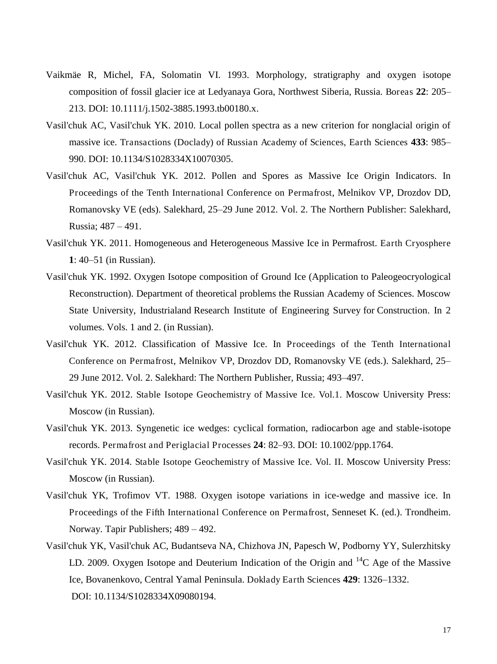- Vaikmäe R, Michel, FA, Solomatin VI. 1993. Morphology, stratigraphy and oxygen isotope composition of fossil glacier ice at Ledyanaya Gora, Northwest Siberia, Russia. Boreas **22**: 205– 213. DOI: 10.1111/j.1502-3885.1993.tb00180.x.
- Vasil'chuk AC, Vasil'chuk YK. 2010. Local pollen spectra as a new criterion for nonglacial origin of massive ice. Transactions (Doclady) of Russian Academy of Sciences, Earth Sciences **433**: 985– 990. DOI: 10.1134/S1028334X10070305.
- Vasil'chuk AC, Vasil'chuk YK. 2012. Pollen and Spores as Massive Ice Origin Indicators. In Proceedings of the Tenth International Conference on Permafrost, Melnikov VP, Drozdov DD, Romanovsky VE (eds). Salekhard, 25–29 June 2012. Vol. 2. The Northern Publisher: Salekhard, Russia; 487 – 491.
- Vasil'chuk YK. 2011. Homogeneous and Heterogeneous Massive Ice in Permafrost. Earth Cryosphere **1**: 40–51 (in Russian).
- Vasil'chuk YK. 1992. Oxygen Isotope composition of Ground Ice (Application to Paleogeocryological Reconstruction). Department of theoretical problems the Russian Academy of Sciences. Moscow State University, Industrialand Research Institute of Engineering Survey for Construction. In 2 volumes. Vols. 1 and 2. (in Russian).
- Vasil'chuk YK. 2012. Classification of Massive Ice. In Proceedings of the Tenth International Conference on Permafrost, Melnikov VP, Drozdov DD, Romanovsky VE (eds.). Salekhard, 25– 29 June 2012. Vol. 2. Salekhard: The Northern Publisher, Russia; 493–497.
- Vasil'chuk YK. 2012. Stable Isotope Geochemistry of Massive Ice. Vol.1. Moscow University Press: Moscow (in Russian).
- Vasil'chuk YK. 2013. Syngenetic ice wedges: cyclical formation, radiocarbon age and stable-isotope records. Permafrost and Periglacial Processes **24**: 82–93. DOI: 10.1002/ppp.1764.
- Vasil'chuk YK. 2014. Stable Isotope Geochemistry of Massive Ice. Vol. II. Moscow University Press: Moscow (in Russian).
- Vasil'chuk YK, Trofimov VT. 1988. Oxygen isotope variations in ice-wedge and massive ice. In Proceedings of the Fifth International Conference on Permafrost, Senneset K. (ed.). Trondheim. Norway. Tapir Publishers; 489 – 492.
- Vasil'chuk YK, Vasil'chuk AC, Budantseva NA, Chizhova JN, Papesch W, Podborny YY, Sulerzhitsky LD. 2009. Oxygen Isotope and Deuterium Indication of the Origin and  ${}^{14}C$  Age of the Massive Ice, Bovanenkovo, Central Yamal Peninsula. Doklady Earth Sciences **429**: 1326–1332. DOI: 10.1134/S1028334X09080194.